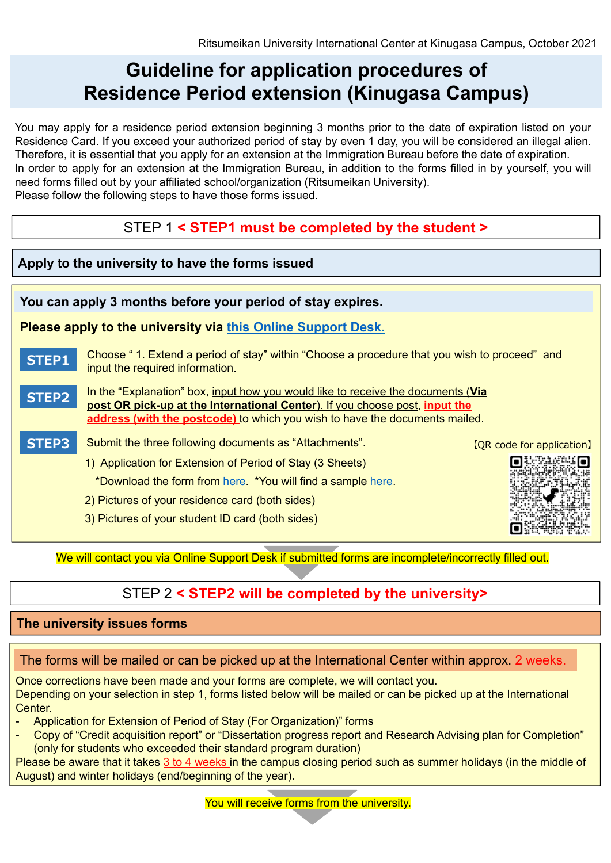# **Guideline for application procedures of Residence Period extension (Kinugasa Campus)**

You may apply for a residence period extension beginning 3 months prior to the date of expiration listed on your Residence Card. If you exceed your authorized period of stay by even 1 day, you will be considered an illegal alien. Therefore, it is essential that you apply for an extension at the Immigration Bureau before the date of expiration. In order to apply for an extension at the Immigration Bureau, in addition to the forms filled in by yourself, you will need forms filled out by your affiliated school/organization (Ritsumeikan University). Please follow the following steps to have those forms issued.

### STEP 1 **< STEP1 must be completed by the student >**

### **Apply to the university to have the forms issued You can apply 3 months before your period of stay expires. Please apply to the university via [this Online Support Desk.](https://global.support.ritsumei.ac.jp/hc/en-us/requests/new?ticket_form_id=360006867793) STEP1** Choose " 1. Extend a period of stay" within "Choose a procedure that you wish to proceed" and input the required information. In the "Explanation" box, input how you would like to receive the documents (**Via STEP2 post OR pick-up at the International Center**). If you choose post, **input the address (with the postcode)** to which you wish to have the documents mailed. **STEP3** Submit the three following documents as "Attachments". 【QR code for application】 г 1) Application for Extension of Period of Stay (3 Sheets) \*Download the form from [here.](https://global-support-ritsumei.zendesk.com/hc/article_attachments/6309030187027/Extension_Form_220513_Applicant.xlsx) \*You will find a sample [here.](http://www.ritsumei.ac.jp/file.jsp?id=511835) 2) Pictures of your residence card (both sides) 3) Pictures of your student ID card (both sides)

We will contact you via Online Support Desk if submitted forms are incomplete/incorrectly filled out.

## STEP 2 **< STEP2 will be completed by the university>**

#### **The university issues forms**

#### The forms will be mailed or can be picked up at the International Center within approx. 2 weeks.

Once corrections have been made and your forms are complete, we will contact you. Depending on your selection in step 1, forms listed below will be mailed or can be picked up at the International Center.

- Application for Extension of Period of Stay (For Organization)" forms
- Copy of "Credit acquisition report" or "Dissertation progress report and Research Advising plan for Completion" (only for students who exceeded their standard program duration)

Please be aware that it takes 3 to 4 weeks in the campus closing period such as summer holidays (in the middle of August) and winter holidays (end/beginning of the year).

You will receive forms from the university.